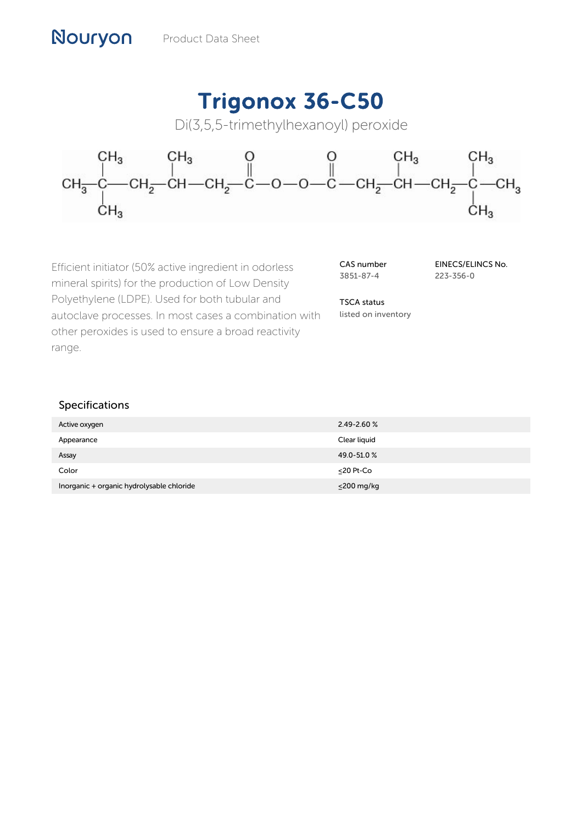# Trigonox 36-C50

Di(3,5,5-trimethylhexanoyl) peroxide



Efficient initiator (50% active ingredient in odorless mineral spirits) for the production of Low Density Polyethylene (LDPE). Used for both tubular and autoclave processes. In most cases a combination with other peroxides is used to ensure a broad reactivity range.

CAS number 3851-87-4

EINECS/ELINCS No. 223-356-0

TSCA status listed on inventory

| Active oxygen                             | $2.49 - 2.60 %$  |
|-------------------------------------------|------------------|
| Appearance                                | Clear liquid     |
| Assay                                     | 49.0-51.0%       |
| Color                                     | <20 Pt-Co        |
| Inorganic + organic hydrolysable chloride | $\leq$ 200 mg/kg |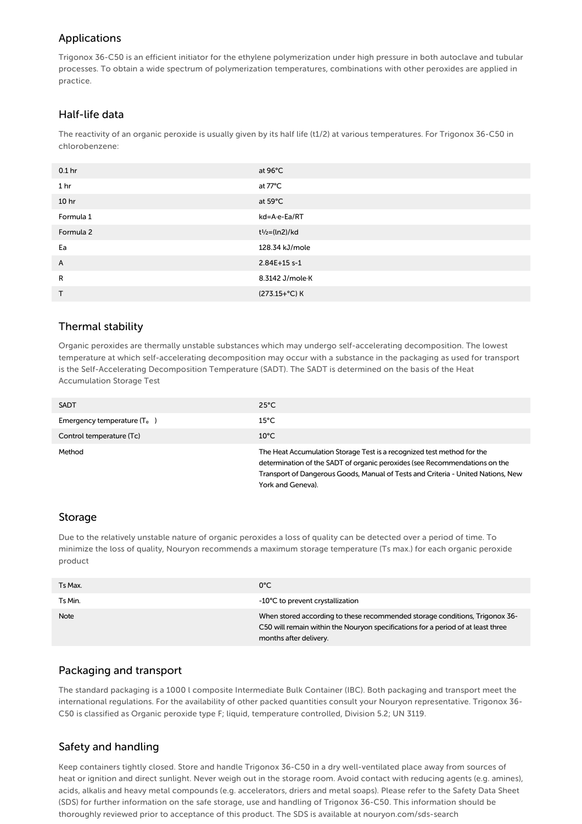# Applications

Trigonox 36-C50 is an efficient initiator for the ethylene polymerization under high pressure in both autoclave and tubular processes. To obtain a wide spectrum of polymerization temperatures, combinations with other peroxides are applied in practice.

# Half-life data

The reactivity of an organic peroxide is usually given by its half life (t1/2) at various temperatures. For Trigonox 36-C50 in chlorobenzene:

| 0.1 <sub>hr</sub> | at 96°C                                 |
|-------------------|-----------------------------------------|
| 1 <sub>hr</sub>   | at 77°C                                 |
| 10 <sub>hr</sub>  | at 59°C                                 |
| Formula 1         | kd=A-e-Ea/RT                            |
| Formula 2         | t <sup>1</sup> / <sub>2</sub> =(ln2)/kd |
| Ea                | 128.34 kJ/mole                          |
| A                 | 2.84E+15 s-1                            |
| R                 | 8.3142 J/mole K                         |
| T                 | (273.15+°C) K                           |

# Thermal stability

Organic peroxides are thermally unstable substances which may undergo self-accelerating decomposition. The lowest temperature at which self-accelerating decomposition may occur with a substance in the packaging as used for transport is the Self-Accelerating Decomposition Temperature (SADT). The SADT is determined on the basis of the Heat Accumulation Storage Test

| <b>SADT</b>                   | $25^{\circ}$ C                                                                                                                                                                                                                                                |
|-------------------------------|---------------------------------------------------------------------------------------------------------------------------------------------------------------------------------------------------------------------------------------------------------------|
| Emergency temperature $(T_e)$ | $15^{\circ}$ C                                                                                                                                                                                                                                                |
| Control temperature (Tc)      | $10^{\circ}$ C                                                                                                                                                                                                                                                |
| Method                        | The Heat Accumulation Storage Test is a recognized test method for the<br>determination of the SADT of organic peroxides (see Recommendations on the<br>Transport of Dangerous Goods, Manual of Tests and Criteria - United Nations, New<br>York and Geneva). |

#### Storage

Due to the relatively unstable nature of organic peroxides a loss of quality can be detected over a period of time. To minimize the loss of quality, Nouryon recommends a maximum storage temperature (Ts max.) for each organic peroxide product

| Ts Max.     | $0^{\circ}$ C                                                                                                                                                                             |
|-------------|-------------------------------------------------------------------------------------------------------------------------------------------------------------------------------------------|
| Ts Min.     | -10°C to prevent crystallization                                                                                                                                                          |
| <b>Note</b> | When stored according to these recommended storage conditions, Trigonox 36-<br>C50 will remain within the Nouryon specifications for a period of at least three<br>months after delivery. |

#### Packaging and transport

The standard packaging is a 1000 l composite Intermediate Bulk Container (IBC). Both packaging and transport meet the international regulations. For the availability of other packed quantities consult your Nouryon representative. Trigonox 36- C50 is classified as Organic peroxide type F; liquid, temperature controlled, Division 5.2; UN 3119.

# Safety and handling

Keep containers tightly closed. Store and handle Trigonox 36-C50 in a dry well-ventilated place away from sources of heat or ignition and direct sunlight. Never weigh out in the storage room. Avoid contact with reducing agents (e.g. amines), acids, alkalis and heavy metal compounds (e.g. accelerators, driers and metal soaps). Please refer to the Safety Data Sheet (SDS) for further information on the safe storage, use and handling of Trigonox 36-C50. This information should be thoroughly reviewed prior to acceptance of this product. The SDS is available at nouryon.com/sds-search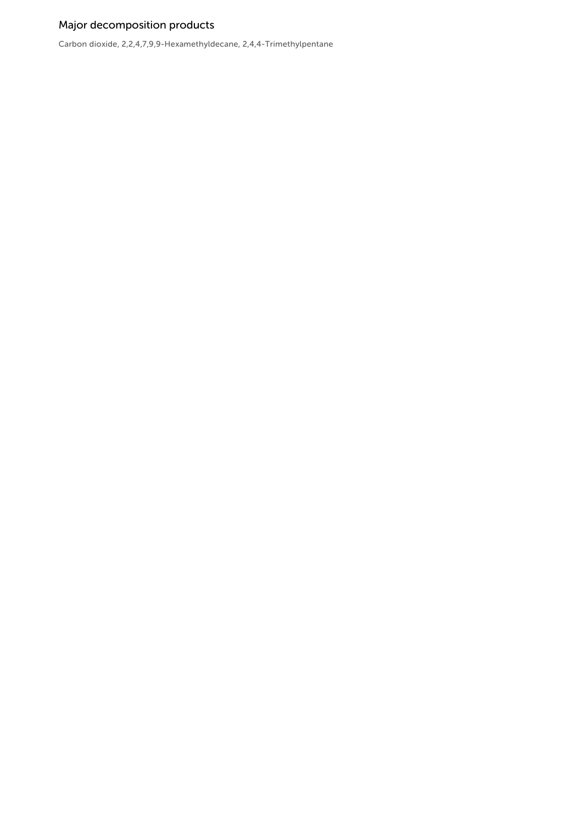# Major decomposition products

Carbon dioxide, 2,2,4,7,9,9-Hexamethyldecane, 2,4,4-Trimethylpentane